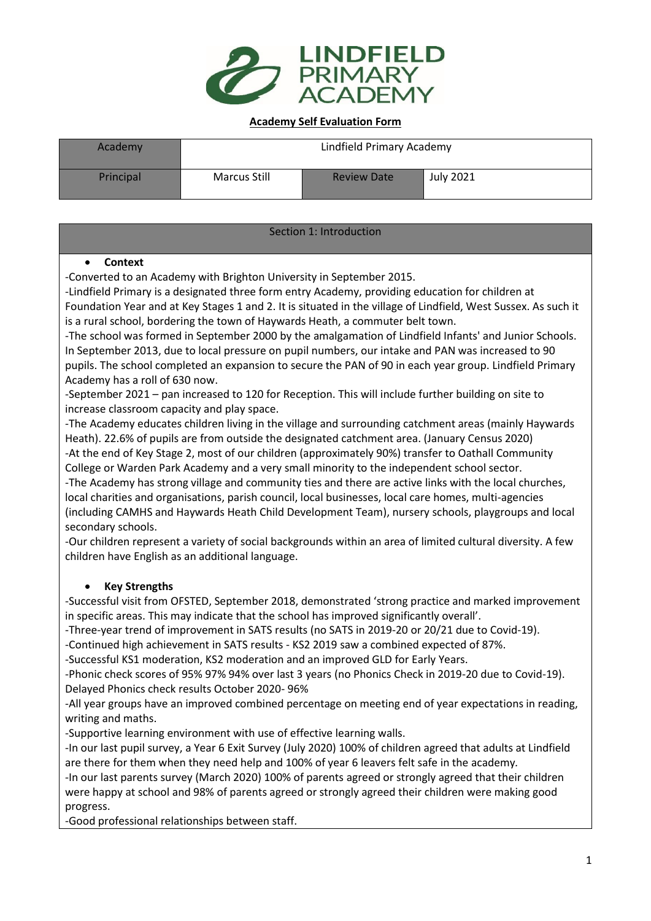

#### **Academy Self Evaluation Form**

| Academy   | Lindfield Primary Academy |                    |           |  |
|-----------|---------------------------|--------------------|-----------|--|
| Principal | Marcus Still              | <b>Review Date</b> | July 2021 |  |

Section 1: Introduction

#### • **Context**

-Converted to an Academy with Brighton University in September 2015.

-Lindfield Primary is a designated three form entry Academy, providing education for children at Foundation Year and at Key Stages 1 and 2. It is situated in the village of Lindfield, West Sussex. As such it is a rural school, bordering the town of Haywards Heath, a commuter belt town.

-The school was formed in September 2000 by the amalgamation of Lindfield Infants' and Junior Schools. In September 2013, due to local pressure on pupil numbers, our intake and PAN was increased to 90 pupils. The school completed an expansion to secure the PAN of 90 in each year group. Lindfield Primary Academy has a roll of 630 now.

-September 2021 – pan increased to 120 for Reception. This will include further building on site to increase classroom capacity and play space.

-The Academy educates children living in the village and surrounding catchment areas (mainly Haywards Heath). 22.6% of pupils are from outside the designated catchment area. (January Census 2020) -At the end of Key Stage 2, most of our children (approximately 90%) transfer to Oathall Community

College or Warden Park Academy and a very small minority to the independent school sector.

-The Academy has strong village and community ties and there are active links with the local churches, local charities and organisations, parish council, local businesses, local care homes, multi-agencies (including CAMHS and Haywards Heath Child Development Team), nursery schools, playgroups and local secondary schools.

-Our children represent a variety of social backgrounds within an area of limited cultural diversity. A few children have English as an additional language.

## • **Key Strengths**

-Successful visit from OFSTED, September 2018, demonstrated 'strong practice and marked improvement in specific areas. This may indicate that the school has improved significantly overall'.

-Three-year trend of improvement in SATS results (no SATS in 2019-20 or 20/21 due to Covid-19).

-Continued high achievement in SATS results - KS2 2019 saw a combined expected of 87%.

-Successful KS1 moderation, KS2 moderation and an improved GLD for Early Years.

-Phonic check scores of 95% 97% 94% over last 3 years (no Phonics Check in 2019-20 due to Covid-19). Delayed Phonics check results October 2020- 96%

-All year groups have an improved combined percentage on meeting end of year expectations in reading, writing and maths.

-Supportive learning environment with use of effective learning walls.

-In our last pupil survey, a Year 6 Exit Survey (July 2020) 100% of children agreed that adults at Lindfield are there for them when they need help and 100% of year 6 leavers felt safe in the academy*.*

-In our last parents survey (March 2020) 100% of parents agreed or strongly agreed that their children were happy at school and 98% of parents agreed or strongly agreed their children were making good progress.

-Good professional relationships between staff.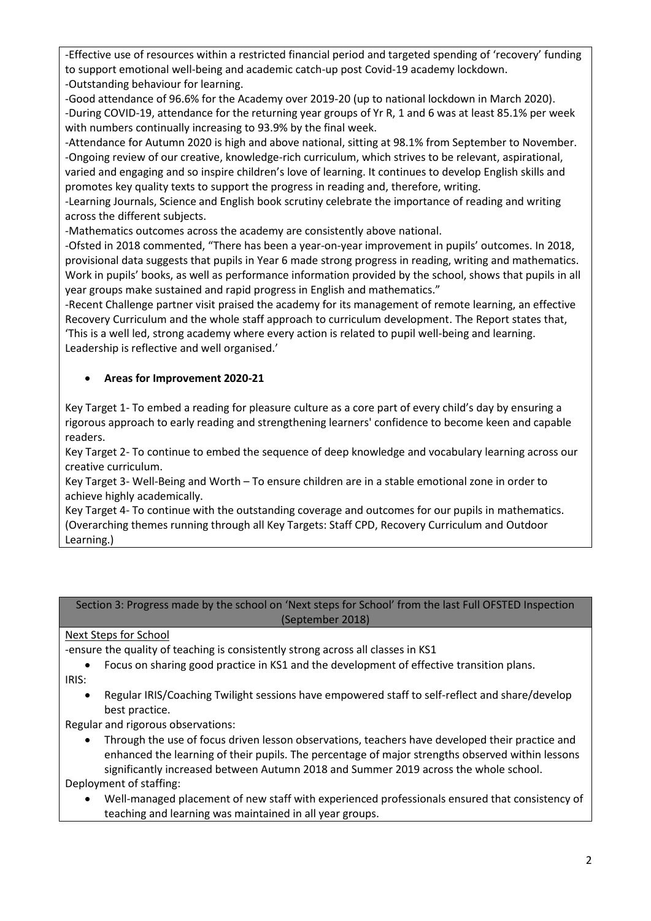-Effective use of resources within a restricted financial period and targeted spending of 'recovery' funding to support emotional well-being and academic catch-up post Covid-19 academy lockdown. -Outstanding behaviour for learning.

-Good attendance of 96.6% for the Academy over 2019-20 (up to national lockdown in March 2020). -During COVID-19, attendance for the returning year groups of Yr R, 1 and 6 was at least 85.1% per week with numbers continually increasing to 93.9% by the final week.

-Attendance for Autumn 2020 is high and above national, sitting at 98.1% from September to November. -Ongoing review of our creative, knowledge-rich curriculum, which strives to be relevant, aspirational, varied and engaging and so inspire children's love of learning. It continues to develop English skills and promotes key quality texts to support the progress in reading and, therefore, writing.

-Learning Journals, Science and English book scrutiny celebrate the importance of reading and writing across the different subjects.

-Mathematics outcomes across the academy are consistently above national.

-Ofsted in 2018 commented, "There has been a year-on-year improvement in pupils' outcomes. In 2018, provisional data suggests that pupils in Year 6 made strong progress in reading, writing and mathematics. Work in pupils' books, as well as performance information provided by the school, shows that pupils in all year groups make sustained and rapid progress in English and mathematics."

-Recent Challenge partner visit praised the academy for its management of remote learning, an effective Recovery Curriculum and the whole staff approach to curriculum development. The Report states that, 'This is a well led, strong academy where every action is related to pupil well-being and learning. Leadership is reflective and well organised.'

## • **Areas for Improvement 2020-21**

Key Target 1- To embed a reading for pleasure culture as a core part of every child's day by ensuring a rigorous approach to early reading and strengthening learners' confidence to become keen and capable readers.

Key Target 2- To continue to embed the sequence of deep knowledge and vocabulary learning across our creative curriculum.

Key Target 3- Well-Being and Worth – To ensure children are in a stable emotional zone in order to achieve highly academically.

Key Target 4- To continue with the outstanding coverage and outcomes for our pupils in mathematics. (Overarching themes running through all Key Targets: Staff CPD, Recovery Curriculum and Outdoor Learning.)

### Section 3: Progress made by the school on 'Next steps for School' from the last Full OFSTED Inspection (September 2018)

## Next Steps for School

-ensure the quality of teaching is consistently strong across all classes in KS1

- Focus on sharing good practice in KS1 and the development of effective transition plans. IRIS:
	- Regular IRIS/Coaching Twilight sessions have empowered staff to self-reflect and share/develop best practice.

Regular and rigorous observations:

- Through the use of focus driven lesson observations, teachers have developed their practice and enhanced the learning of their pupils. The percentage of major strengths observed within lessons significantly increased between Autumn 2018 and Summer 2019 across the whole school. Deployment of staffing:
	- Well-managed placement of new staff with experienced professionals ensured that consistency of teaching and learning was maintained in all year groups.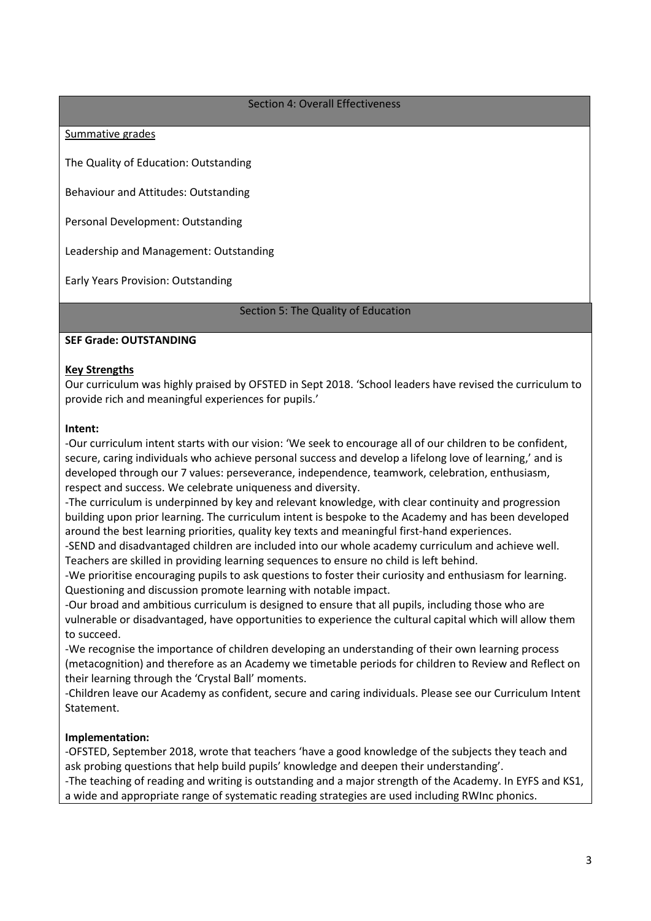#### Section 4: Overall Effectiveness

#### Summative grades

The Quality of Education: Outstanding

Behaviour and Attitudes: Outstanding

Personal Development: Outstanding

Leadership and Management: Outstanding

Early Years Provision: Outstanding

Section 5: The Quality of Education

#### **SEF Grade: OUTSTANDING**

#### **Key Strengths**

Our curriculum was highly praised by OFSTED in Sept 2018. 'School leaders have revised the curriculum to provide rich and meaningful experiences for pupils.'

#### **Intent:**

-Our curriculum intent starts with our vision: 'We seek to encourage all of our children to be confident, secure, caring individuals who achieve personal success and develop a lifelong love of learning,' and is developed through our 7 values: perseverance, independence, teamwork, celebration, enthusiasm, respect and success. We celebrate uniqueness and diversity.

-The curriculum is underpinned by key and relevant knowledge, with clear continuity and progression building upon prior learning. The curriculum intent is bespoke to the Academy and has been developed around the best learning priorities, quality key texts and meaningful first-hand experiences.

-SEND and disadvantaged children are included into our whole academy curriculum and achieve well. Teachers are skilled in providing learning sequences to ensure no child is left behind.

-We prioritise encouraging pupils to ask questions to foster their curiosity and enthusiasm for learning. Questioning and discussion promote learning with notable impact.

-Our broad and ambitious curriculum is designed to ensure that all pupils, including those who are vulnerable or disadvantaged, have opportunities to experience the cultural capital which will allow them to succeed.

-We recognise the importance of children developing an understanding of their own learning process (metacognition) and therefore as an Academy we timetable periods for children to Review and Reflect on their learning through the 'Crystal Ball' moments.

-Children leave our Academy as confident, secure and caring individuals. Please see our Curriculum Intent Statement.

### **Implementation:**

-OFSTED, September 2018, wrote that teachers 'have a good knowledge of the subjects they teach and ask probing questions that help build pupils' knowledge and deepen their understanding'.

-The teaching of reading and writing is outstanding and a major strength of the Academy. In EYFS and KS1, a wide and appropriate range of systematic reading strategies are used including RWInc phonics.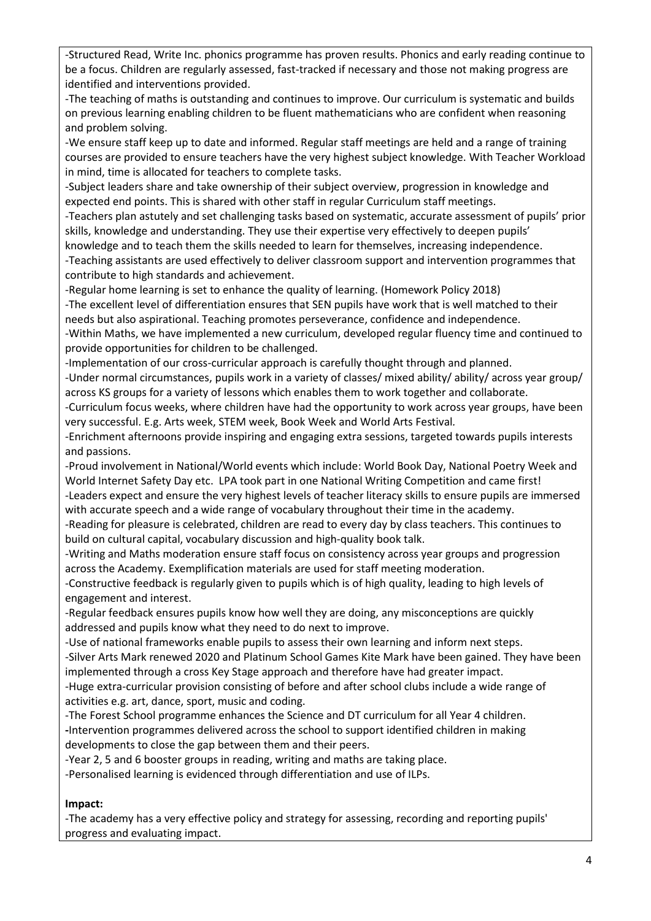-Structured Read, Write Inc. phonics programme has proven results. Phonics and early reading continue to be a focus. Children are regularly assessed, fast-tracked if necessary and those not making progress are identified and interventions provided.

-The teaching of maths is outstanding and continues to improve. Our curriculum is systematic and builds on previous learning enabling children to be fluent mathematicians who are confident when reasoning and problem solving.

-We ensure staff keep up to date and informed. Regular staff meetings are held and a range of training courses are provided to ensure teachers have the very highest subject knowledge. With Teacher Workload in mind, time is allocated for teachers to complete tasks.

-Subject leaders share and take ownership of their subject overview, progression in knowledge and expected end points. This is shared with other staff in regular Curriculum staff meetings.

-Teachers plan astutely and set challenging tasks based on systematic, accurate assessment of pupils' prior skills, knowledge and understanding. They use their expertise very effectively to deepen pupils'

knowledge and to teach them the skills needed to learn for themselves, increasing independence. -Teaching assistants are used effectively to deliver classroom support and intervention programmes that contribute to high standards and achievement.

-Regular home learning is set to enhance the quality of learning. (Homework Policy 2018) -The excellent level of differentiation ensures that SEN pupils have work that is well matched to their needs but also aspirational. Teaching promotes perseverance, confidence and independence.

-Within Maths, we have implemented a new curriculum, developed regular fluency time and continued to provide opportunities for children to be challenged.

-Implementation of our cross-curricular approach is carefully thought through and planned.

-Under normal circumstances, pupils work in a variety of classes/ mixed ability/ ability/ across year group/ across KS groups for a variety of lessons which enables them to work together and collaborate.

-Curriculum focus weeks, where children have had the opportunity to work across year groups, have been very successful. E.g. Arts week, STEM week, Book Week and World Arts Festival*.*

-Enrichment afternoons provide inspiring and engaging extra sessions, targeted towards pupils interests and passions.

-Proud involvement in National/World events which include: World Book Day, National Poetry Week and World Internet Safety Day etc. LPA took part in one National Writing Competition and came first!

-Leaders expect and ensure the very highest levels of teacher literacy skills to ensure pupils are immersed with accurate speech and a wide range of vocabulary throughout their time in the academy.

-Reading for pleasure is celebrated, children are read to every day by class teachers. This continues to build on cultural capital, vocabulary discussion and high-quality book talk.

-Writing and Maths moderation ensure staff focus on consistency across year groups and progression across the Academy. Exemplification materials are used for staff meeting moderation.

-Constructive feedback is regularly given to pupils which is of high quality, leading to high levels of engagement and interest.

-Regular feedback ensures pupils know how well they are doing, any misconceptions are quickly addressed and pupils know what they need to do next to improve.

-Use of national frameworks enable pupils to assess their own learning and inform next steps.

-Silver Arts Mark renewed 2020 and Platinum School Games Kite Mark have been gained. They have been implemented through a cross Key Stage approach and therefore have had greater impact.

-Huge extra-curricular provision consisting of before and after school clubs include a wide range of activities e.g. art, dance, sport, music and coding.

-The Forest School programme enhances the Science and DT curriculum for all Year 4 children. **-**Intervention programmes delivered across the school to support identified children in making developments to close the gap between them and their peers.

-Year 2, 5 and 6 booster groups in reading, writing and maths are taking place.

-Personalised learning is evidenced through differentiation and use of ILPs.

### **Impact:**

-The academy has a very effective policy and strategy for assessing, recording and reporting pupils' progress and evaluating impact.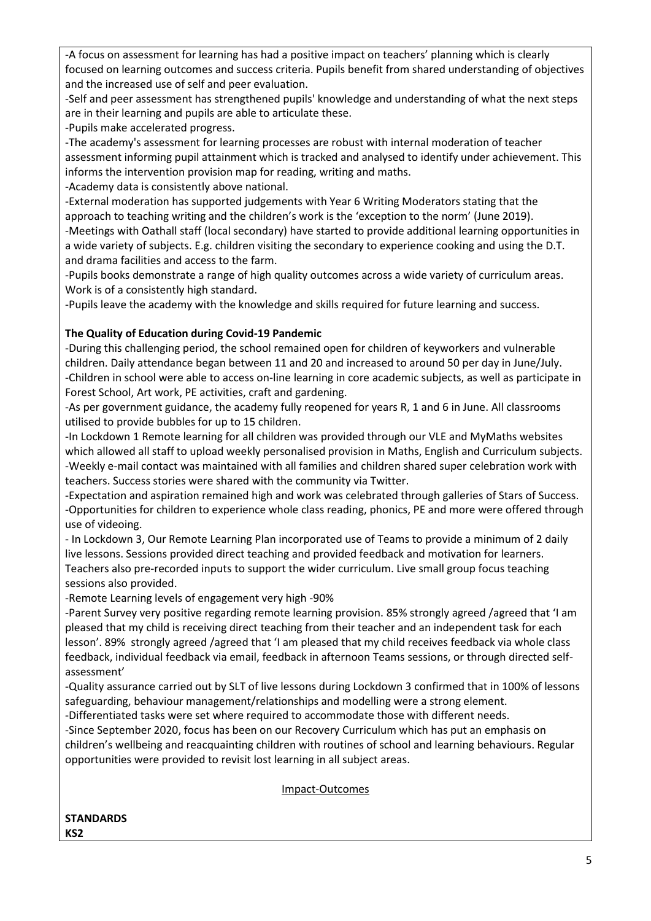-A focus on assessment for learning has had a positive impact on teachers' planning which is clearly focused on learning outcomes and success criteria. Pupils benefit from shared understanding of objectives and the increased use of self and peer evaluation.

-Self and peer assessment has strengthened pupils' knowledge and understanding of what the next steps are in their learning and pupils are able to articulate these.

-Pupils make accelerated progress.

-The academy's assessment for learning processes are robust with internal moderation of teacher assessment informing pupil attainment which is tracked and analysed to identify under achievement. This informs the intervention provision map for reading, writing and maths.

-Academy data is consistently above national.

-External moderation has supported judgements with Year 6 Writing Moderators stating that the approach to teaching writing and the children's work is the 'exception to the norm' (June 2019).

-Meetings with Oathall staff (local secondary) have started to provide additional learning opportunities in a wide variety of subjects. E.g. children visiting the secondary to experience cooking and using the D.T. and drama facilities and access to the farm.

-Pupils books demonstrate a range of high quality outcomes across a wide variety of curriculum areas. Work is of a consistently high standard.

-Pupils leave the academy with the knowledge and skills required for future learning and success.

## **The Quality of Education during Covid-19 Pandemic**

-During this challenging period, the school remained open for children of keyworkers and vulnerable children. Daily attendance began between 11 and 20 and increased to around 50 per day in June/July. -Children in school were able to access on-line learning in core academic subjects, as well as participate in Forest School, Art work, PE activities, craft and gardening.

-As per government guidance, the academy fully reopened for years R, 1 and 6 in June. All classrooms utilised to provide bubbles for up to 15 children.

-In Lockdown 1 Remote learning for all children was provided through our VLE and MyMaths websites which allowed all staff to upload weekly personalised provision in Maths, English and Curriculum subjects. -Weekly e-mail contact was maintained with all families and children shared super celebration work with teachers. Success stories were shared with the community via Twitter.

-Expectation and aspiration remained high and work was celebrated through galleries of Stars of Success. -Opportunities for children to experience whole class reading, phonics, PE and more were offered through use of videoing.

- In Lockdown 3, Our Remote Learning Plan incorporated use of Teams to provide a minimum of 2 daily live lessons. Sessions provided direct teaching and provided feedback and motivation for learners. Teachers also pre-recorded inputs to support the wider curriculum. Live small group focus teaching sessions also provided.

-Remote Learning levels of engagement very high -90%

-Parent Survey very positive regarding remote learning provision. 85% strongly agreed /agreed that 'I am pleased that my child is receiving direct teaching from their teacher and an independent task for each lesson'. 89% strongly agreed /agreed that 'I am pleased that my child receives feedback via whole class feedback, individual feedback via email, feedback in afternoon Teams sessions, or through directed selfassessment'

-Quality assurance carried out by SLT of live lessons during Lockdown 3 confirmed that in 100% of lessons safeguarding, behaviour management/relationships and modelling were a strong element.

-Differentiated tasks were set where required to accommodate those with different needs.

-Since September 2020, focus has been on our Recovery Curriculum which has put an emphasis on children's wellbeing and reacquainting children with routines of school and learning behaviours. Regular opportunities were provided to revisit lost learning in all subject areas.

#### Impact-Outcomes

#### **STANDARDS KS2**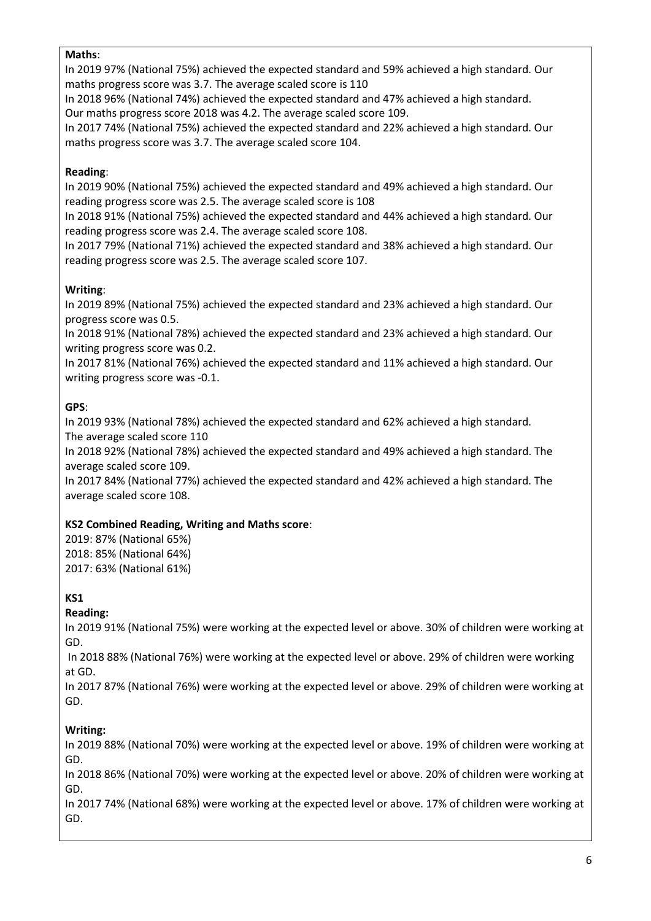### **Maths**:

In 2019 97% (National 75%) achieved the expected standard and 59% achieved a high standard. Our maths progress score was 3.7. The average scaled score is 110

In 2018 96% (National 74%) achieved the expected standard and 47% achieved a high standard. Our maths progress score 2018 was 4.2. The average scaled score 109.

In 2017 74% (National 75%) achieved the expected standard and 22% achieved a high standard. Our maths progress score was 3.7. The average scaled score 104.

## **Reading**:

In 2019 90% (National 75%) achieved the expected standard and 49% achieved a high standard. Our reading progress score was 2.5. The average scaled score is 108

In 2018 91% (National 75%) achieved the expected standard and 44% achieved a high standard. Our reading progress score was 2.4. The average scaled score 108.

In 2017 79% (National 71%) achieved the expected standard and 38% achieved a high standard. Our reading progress score was 2.5. The average scaled score 107.

## **Writing**:

In 2019 89% (National 75%) achieved the expected standard and 23% achieved a high standard. Our progress score was 0.5.

In 2018 91% (National 78%) achieved the expected standard and 23% achieved a high standard. Our writing progress score was 0.2.

In 2017 81% (National 76%) achieved the expected standard and 11% achieved a high standard. Our writing progress score was -0.1.

## **GPS**:

In 2019 93% (National 78%) achieved the expected standard and 62% achieved a high standard. The average scaled score 110

In 2018 92% (National 78%) achieved the expected standard and 49% achieved a high standard. The average scaled score 109.

In 2017 84% (National 77%) achieved the expected standard and 42% achieved a high standard. The average scaled score 108.

## **KS2 Combined Reading, Writing and Maths score**:

2019: 87% (National 65%) 2018: 85% (National 64%) 2017: 63% (National 61%)

## **KS1**

## **Reading:**

In 2019 91% (National 75%) were working at the expected level or above. 30% of children were working at GD.

In 2018 88% (National 76%) were working at the expected level or above. 29% of children were working at GD.

In 2017 87% (National 76%) were working at the expected level or above. 29% of children were working at GD.

## **Writing:**

In 2019 88% (National 70%) were working at the expected level or above. 19% of children were working at GD.

In 2018 86% (National 70%) were working at the expected level or above. 20% of children were working at GD.

In 2017 74% (National 68%) were working at the expected level or above. 17% of children were working at GD.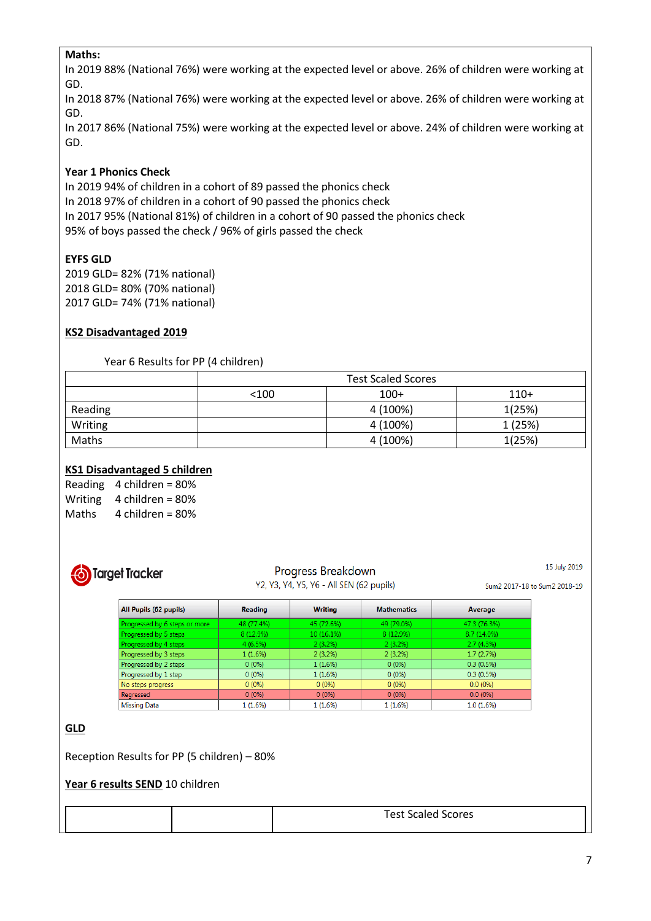### **Maths:**

In 2019 88% (National 76%) were working at the expected level or above. 26% of children were working at GD.

In 2018 87% (National 76%) were working at the expected level or above. 26% of children were working at GD.

In 2017 86% (National 75%) were working at the expected level or above. 24% of children were working at GD.

### **Year 1 Phonics Check**

In 2019 94% of children in a cohort of 89 passed the phonics check In 2018 97% of children in a cohort of 90 passed the phonics check In 2017 95% (National 81%) of children in a cohort of 90 passed the phonics check 95% of boys passed the check / 96% of girls passed the check

### **EYFS GLD**

2019 GLD= 82% (71% national) 2018 GLD= 80% (70% national) 2017 GLD= 74% (71% national)

### **KS2 Disadvantaged 2019**

#### Year 6 Results for PP (4 children)

|         | <b>Test Scaled Scores</b> |          |        |  |  |
|---------|---------------------------|----------|--------|--|--|
|         | $100+$<br>< 100<br>$110+$ |          |        |  |  |
| Reading |                           | 4 (100%) | 1(25%) |  |  |
| Writing |                           | 4 (100%) | 1(25%) |  |  |
| Maths   |                           | 4 (100%) | 1(25%) |  |  |

### **KS1 Disadvantaged 5 children**

| Reading | 4 children = $80\%$ |
|---------|---------------------|
| Writing | 4 children = $80\%$ |
| Maths   | 4 children = $80\%$ |



# Progress Breakdown

15 July 2019

|  |  |  |  |  |  |  |  | Y2, Y3, Y4, Y5, Y6 - All SEN (62 pupils) |  |
|--|--|--|--|--|--|--|--|------------------------------------------|--|

Sum2 2017-18 to Sum2 2018-19

| All Pupils (62 pupils)        | <b>Reading</b> | <b>Writing</b> | <b>Mathematics</b> | Average       |
|-------------------------------|----------------|----------------|--------------------|---------------|
| Progressed by 6 steps or more | 48 (77.4%)     | 45 (72.6%)     | 49 (79.0%)         | 47.3 (76.3%)  |
| Progressed by 5 steps         | 8 (12.9%)      | 10(16.1%)      | 8 (12.9%)          | $8.7(14.0\%)$ |
| Progressed by 4 steps         | 4(6.5%)        | $2(3.2\%)$     | 2(3.2%)            | 2.7(4.3%)     |
| Progressed by 3 steps         | 1(1.6%)        | 2(3.2%)        | 2(3.2%)            | 1.7(2.7%)     |
| Progressed by 2 steps         | $0(0\%)$       | 1(1.6%)        | $0(0\%)$           | 0.3(0.5%)     |
| Progressed by 1 step          | $0(0\%)$       | 1(1.6%)        | $0(0\%)$           | 0.3(0.5%)     |
| No steps progress             | $0(0\%)$       | $0(0\%)$       | $0(0\%)$           | $0.0(0\%)$    |
| Regressed                     | $0(0\%)$       | $0(0\%)$       | $0(0\%)$           | $0.0(0\%)$    |
| <b>Missing Data</b>           | 1(1.6%)        | 1 (1.6%)       | 1 (1.6%)           | 1.0(1.6%)     |

### **GLD**

Reception Results for PP (5 children) – 80%

#### **Year 6 results SEND** 10 children

| <b>Test Scaled Scores</b> |
|---------------------------|
|---------------------------|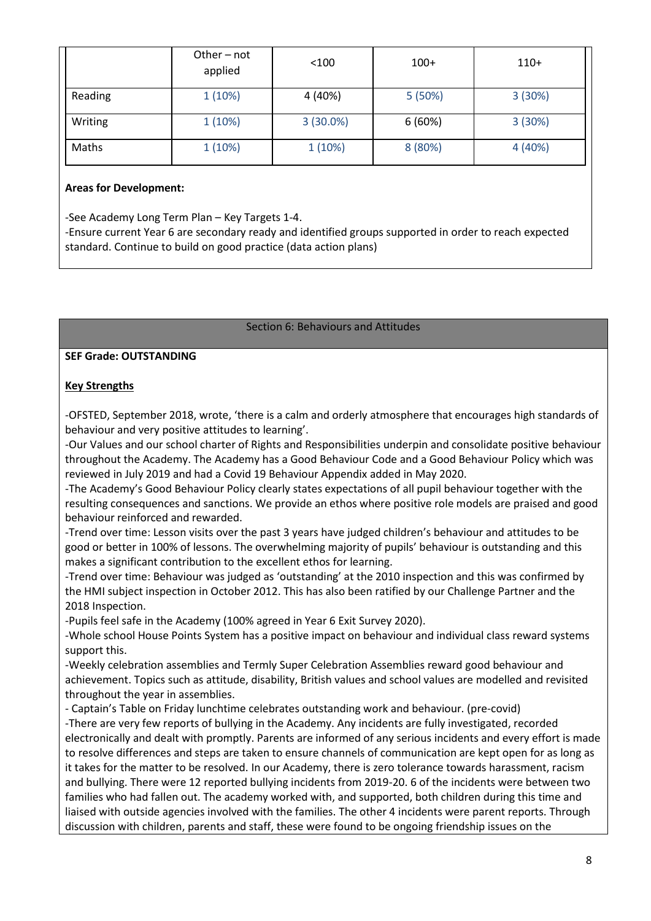|         | Other - not<br>applied | < 100       | $100+$  | $110+$  |
|---------|------------------------|-------------|---------|---------|
| Reading | 1(10%)                 | 4 (40%)     | 5(50%)  | 3(30%)  |
| Writing | 1(10%)                 | $3(30.0\%)$ | 6(60%)  | 3(30%)  |
| Maths   | 1(10%)                 | 1(10%)      | 8 (80%) | 4 (40%) |

#### **Areas for Development:**

-See Academy Long Term Plan – Key Targets 1-4.

-Ensure current Year 6 are secondary ready and identified groups supported in order to reach expected standard. Continue to build on good practice (data action plans)

#### Section 6: Behaviours and Attitudes

#### **SEF Grade: OUTSTANDING**

### **Key Strengths**

-OFSTED, September 2018, wrote, 'there is a calm and orderly atmosphere that encourages high standards of behaviour and very positive attitudes to learning'.

-Our Values and our school charter of Rights and Responsibilities underpin and consolidate positive behaviour throughout the Academy. The Academy has a Good Behaviour Code and a Good Behaviour Policy which was reviewed in July 2019 and had a Covid 19 Behaviour Appendix added in May 2020.

-The Academy's Good Behaviour Policy clearly states expectations of all pupil behaviour together with the resulting consequences and sanctions. We provide an ethos where positive role models are praised and good behaviour reinforced and rewarded.

-Trend over time: Lesson visits over the past 3 years have judged children's behaviour and attitudes to be good or better in 100% of lessons. The overwhelming majority of pupils' behaviour is outstanding and this makes a significant contribution to the excellent ethos for learning.

-Trend over time: Behaviour was judged as 'outstanding' at the 2010 inspection and this was confirmed by the HMI subject inspection in October 2012. This has also been ratified by our Challenge Partner and the 2018 Inspection.

-Pupils feel safe in the Academy (100% agreed in Year 6 Exit Survey 2020).

-Whole school House Points System has a positive impact on behaviour and individual class reward systems support this.

-Weekly celebration assemblies and Termly Super Celebration Assemblies reward good behaviour and achievement. Topics such as attitude, disability, British values and school values are modelled and revisited throughout the year in assemblies.

- Captain's Table on Friday lunchtime celebrates outstanding work and behaviour. (pre-covid)

-There are very few reports of bullying in the Academy. Any incidents are fully investigated, recorded electronically and dealt with promptly. Parents are informed of any serious incidents and every effort is made to resolve differences and steps are taken to ensure channels of communication are kept open for as long as it takes for the matter to be resolved. In our Academy, there is zero tolerance towards harassment, racism and bullying. There were 12 reported bullying incidents from 2019-20. 6 of the incidents were between two families who had fallen out. The academy worked with, and supported, both children during this time and liaised with outside agencies involved with the families. The other 4 incidents were parent reports. Through discussion with children, parents and staff, these were found to be ongoing friendship issues on the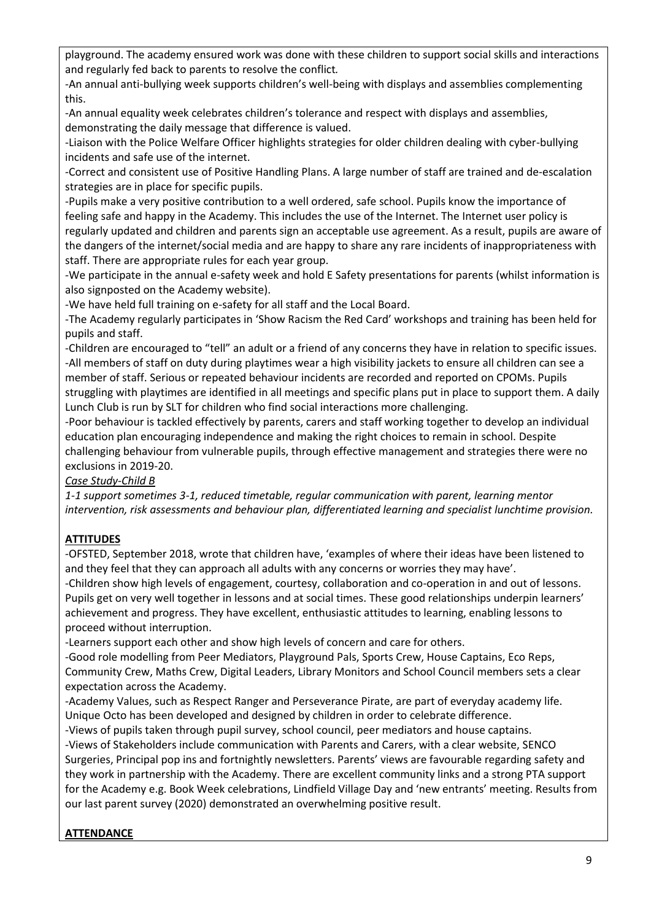playground. The academy ensured work was done with these children to support social skills and interactions and regularly fed back to parents to resolve the conflict*.*

-An annual anti-bullying week supports children's well-being with displays and assemblies complementing this.

-An annual equality week celebrates children's tolerance and respect with displays and assemblies, demonstrating the daily message that difference is valued.

-Liaison with the Police Welfare Officer highlights strategies for older children dealing with cyber-bullying incidents and safe use of the internet.

-Correct and consistent use of Positive Handling Plans. A large number of staff are trained and de-escalation strategies are in place for specific pupils.

-Pupils make a very positive contribution to a well ordered, safe school. Pupils know the importance of feeling safe and happy in the Academy. This includes the use of the Internet. The Internet user policy is regularly updated and children and parents sign an acceptable use agreement. As a result, pupils are aware of the dangers of the internet/social media and are happy to share any rare incidents of inappropriateness with staff. There are appropriate rules for each year group.

-We participate in the annual e-safety week and hold E Safety presentations for parents (whilst information is also signposted on the Academy website).

-We have held full training on e-safety for all staff and the Local Board.

-The Academy regularly participates in 'Show Racism the Red Card' workshops and training has been held for pupils and staff.

-Children are encouraged to "tell" an adult or a friend of any concerns they have in relation to specific issues. -All members of staff on duty during playtimes wear a high visibility jackets to ensure all children can see a member of staff. Serious or repeated behaviour incidents are recorded and reported on CPOMs. Pupils struggling with playtimes are identified in all meetings and specific plans put in place to support them. A daily Lunch Club is run by SLT for children who find social interactions more challenging.

-Poor behaviour is tackled effectively by parents, carers and staff working together to develop an individual education plan encouraging independence and making the right choices to remain in school. Despite challenging behaviour from vulnerable pupils, through effective management and strategies there were no exclusions in 2019-20.

### *Case Study-Child B*

*1-1 support sometimes 3-1, reduced timetable, regular communication with parent, learning mentor intervention, risk assessments and behaviour plan, differentiated learning and specialist lunchtime provision.*

## **ATTITUDES**

-OFSTED, September 2018, wrote that children have, 'examples of where their ideas have been listened to and they feel that they can approach all adults with any concerns or worries they may have'.

-Children show high levels of engagement, courtesy, collaboration and co-operation in and out of lessons. Pupils get on very well together in lessons and at social times. These good relationships underpin learners' achievement and progress. They have excellent, enthusiastic attitudes to learning, enabling lessons to proceed without interruption.

-Learners support each other and show high levels of concern and care for others.

-Good role modelling from Peer Mediators, Playground Pals, Sports Crew, House Captains, Eco Reps, Community Crew, Maths Crew, Digital Leaders, Library Monitors and School Council members sets a clear expectation across the Academy.

-Academy Values, such as Respect Ranger and Perseverance Pirate, are part of everyday academy life. Unique Octo has been developed and designed by children in order to celebrate difference.

-Views of pupils taken through pupil survey, school council, peer mediators and house captains. -Views of Stakeholders include communication with Parents and Carers, with a clear website, SENCO Surgeries, Principal pop ins and fortnightly newsletters. Parents' views are favourable regarding safety and they work in partnership with the Academy. There are excellent community links and a strong PTA support for the Academy e.g. Book Week celebrations, Lindfield Village Day and 'new entrants' meeting. Results from our last parent survey (2020) demonstrated an overwhelming positive result.

# **ATTENDANCE**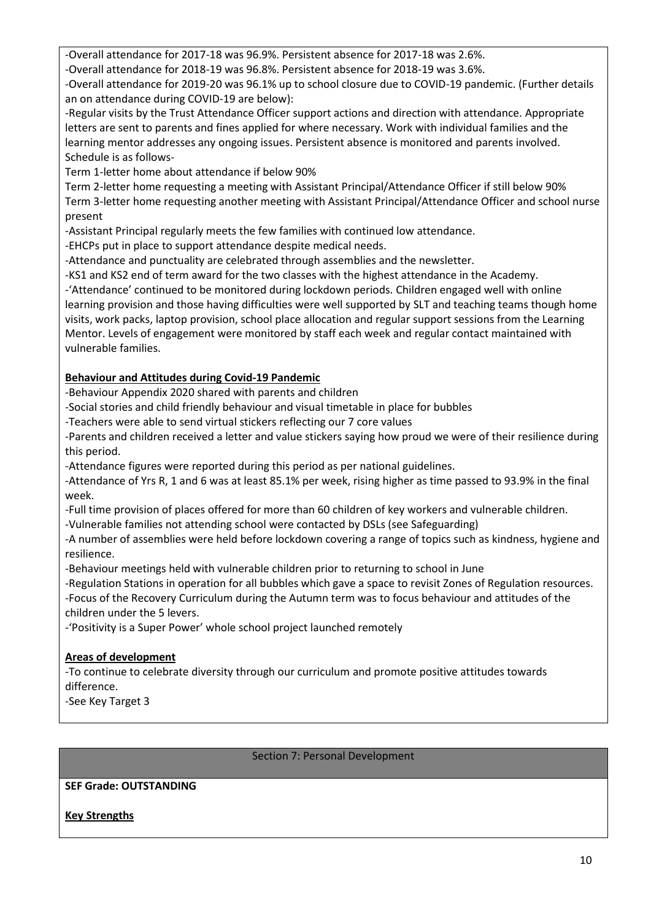-Overall attendance for 2017-18 was 96.9%. Persistent absence for 2017-18 was 2.6%.

-Overall attendance for 2018-19 was 96.8%. Persistent absence for 2018-19 was 3.6%.

-Overall attendance for 2019-20 was 96.1% up to school closure due to COVID-19 pandemic. (Further details an on attendance during COVID-19 are below):

-Regular visits by the Trust Attendance Officer support actions and direction with attendance. Appropriate letters are sent to parents and fines applied for where necessary. Work with individual families and the learning mentor addresses any ongoing issues. Persistent absence is monitored and parents involved. Schedule is as follows-

Term 1-letter home about attendance if below 90%

Term 2-letter home requesting a meeting with Assistant Principal/Attendance Officer if still below 90% Term 3-letter home requesting another meeting with Assistant Principal/Attendance Officer and school nurse present

-Assistant Principal regularly meets the few families with continued low attendance.

-EHCPs put in place to support attendance despite medical needs.

-Attendance and punctuality are celebrated through assemblies and the newsletter.

-KS1 and KS2 end of term award for the two classes with the highest attendance in the Academy.

-'Attendance' continued to be monitored during lockdown periods. Children engaged well with online learning provision and those having difficulties were well supported by SLT and teaching teams though home visits, work packs, laptop provision, school place allocation and regular support sessions from the Learning Mentor. Levels of engagement were monitored by staff each week and regular contact maintained with vulnerable families.

## **Behaviour and Attitudes during Covid-19 Pandemic**

-Behaviour Appendix 2020 shared with parents and children

-Social stories and child friendly behaviour and visual timetable in place for bubbles

-Teachers were able to send virtual stickers reflecting our 7 core values

-Parents and children received a letter and value stickers saying how proud we were of their resilience during this period.

-Attendance figures were reported during this period as per national guidelines.

-Attendance of Yrs R, 1 and 6 was at least 85.1% per week, rising higher as time passed to 93.9% in the final week.

-Full time provision of places offered for more than 60 children of key workers and vulnerable children.

-Vulnerable families not attending school were contacted by DSLs (see Safeguarding)

-A number of assemblies were held before lockdown covering a range of topics such as kindness, hygiene and resilience.

-Behaviour meetings held with vulnerable children prior to returning to school in June

-Regulation Stations in operation for all bubbles which gave a space to revisit Zones of Regulation resources. -Focus of the Recovery Curriculum during the Autumn term was to focus behaviour and attitudes of the children under the 5 levers.

-'Positivity is a Super Power' whole school project launched remotely

## **Areas of development**

-To continue to celebrate diversity through our curriculum and promote positive attitudes towards difference.

-See Key Target 3

### Section 7: Personal Development

## **SEF Grade: OUTSTANDING**

**Key Strengths**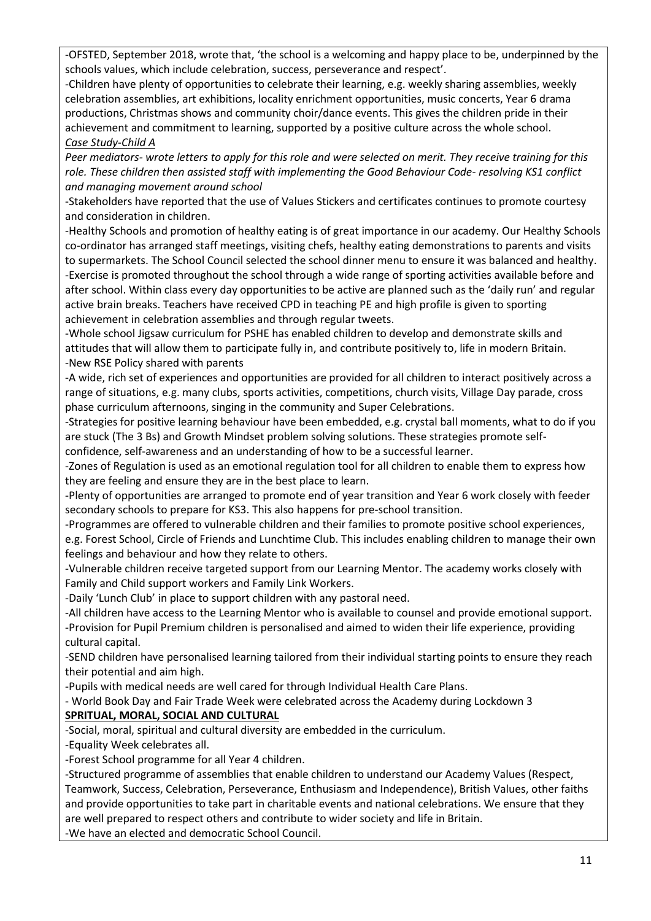-OFSTED, September 2018, wrote that, 'the school is a welcoming and happy place to be, underpinned by the schools values, which include celebration, success, perseverance and respect'.

-Children have plenty of opportunities to celebrate their learning, e.g. weekly sharing assemblies, weekly celebration assemblies, art exhibitions, locality enrichment opportunities, music concerts, Year 6 drama productions, Christmas shows and community choir/dance events. This gives the children pride in their achievement and commitment to learning, supported by a positive culture across the whole school. *Case Study-Child A*

*Peer mediators- wrote letters to apply for this role and were selected on merit. They receive training for this role. These children then assisted staff with implementing the Good Behaviour Code- resolving KS1 conflict and managing movement around school*

-Stakeholders have reported that the use of Values Stickers and certificates continues to promote courtesy and consideration in children.

-Healthy Schools and promotion of healthy eating is of great importance in our academy. Our Healthy Schools co-ordinator has arranged staff meetings, visiting chefs, healthy eating demonstrations to parents and visits to supermarkets. The School Council selected the school dinner menu to ensure it was balanced and healthy. -Exercise is promoted throughout the school through a wide range of sporting activities available before and after school. Within class every day opportunities to be active are planned such as the 'daily run' and regular active brain breaks. Teachers have received CPD in teaching PE and high profile is given to sporting achievement in celebration assemblies and through regular tweets.

-Whole school Jigsaw curriculum for PSHE has enabled children to develop and demonstrate skills and attitudes that will allow them to participate fully in, and contribute positively to, life in modern Britain. -New RSE Policy shared with parents

-A wide, rich set of experiences and opportunities are provided for all children to interact positively across a range of situations, e.g. many clubs, sports activities, competitions, church visits, Village Day parade, cross phase curriculum afternoons, singing in the community and Super Celebrations.

-Strategies for positive learning behaviour have been embedded, e.g. crystal ball moments, what to do if you are stuck (The 3 Bs) and Growth Mindset problem solving solutions. These strategies promote selfconfidence, self-awareness and an understanding of how to be a successful learner.

-Zones of Regulation is used as an emotional regulation tool for all children to enable them to express how they are feeling and ensure they are in the best place to learn.

-Plenty of opportunities are arranged to promote end of year transition and Year 6 work closely with feeder secondary schools to prepare for KS3. This also happens for pre-school transition.

-Programmes are offered to vulnerable children and their families to promote positive school experiences, e.g. Forest School, Circle of Friends and Lunchtime Club. This includes enabling children to manage their own feelings and behaviour and how they relate to others.

-Vulnerable children receive targeted support from our Learning Mentor. The academy works closely with Family and Child support workers and Family Link Workers.

-Daily 'Lunch Club' in place to support children with any pastoral need.

-All children have access to the Learning Mentor who is available to counsel and provide emotional support. -Provision for Pupil Premium children is personalised and aimed to widen their life experience, providing cultural capital.

-SEND children have personalised learning tailored from their individual starting points to ensure they reach their potential and aim high.

-Pupils with medical needs are well cared for through Individual Health Care Plans.

- World Book Day and Fair Trade Week were celebrated across the Academy during Lockdown 3 **SPRITUAL, MORAL, SOCIAL AND CULTURAL**

-Social, moral, spiritual and cultural diversity are embedded in the curriculum.

-Equality Week celebrates all.

-Forest School programme for all Year 4 children.

-Structured programme of assemblies that enable children to understand our Academy Values (Respect, Teamwork, Success, Celebration, Perseverance, Enthusiasm and Independence), British Values, other faiths and provide opportunities to take part in charitable events and national celebrations. We ensure that they are well prepared to respect others and contribute to wider society and life in Britain.

-We have an elected and democratic School Council.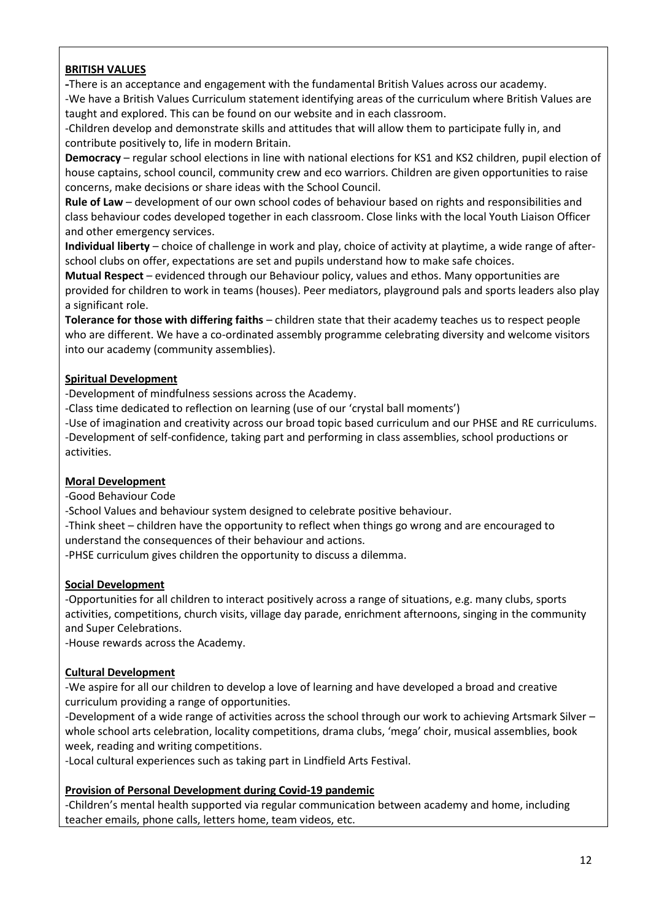### **BRITISH VALUES**

**-**There is an acceptance and engagement with the fundamental British Values across our academy. -We have a British Values Curriculum statement identifying areas of the curriculum where British Values are

taught and explored. This can be found on our website and in each classroom.

-Children develop and demonstrate skills and attitudes that will allow them to participate fully in, and contribute positively to, life in modern Britain.

**Democracy** – regular school elections in line with national elections for KS1 and KS2 children, pupil election of house captains, school council, community crew and eco warriors. Children are given opportunities to raise concerns, make decisions or share ideas with the School Council.

**Rule of Law** – development of our own school codes of behaviour based on rights and responsibilities and class behaviour codes developed together in each classroom. Close links with the local Youth Liaison Officer and other emergency services.

**Individual liberty** – choice of challenge in work and play, choice of activity at playtime, a wide range of afterschool clubs on offer, expectations are set and pupils understand how to make safe choices.

**Mutual Respect** – evidenced through our Behaviour policy, values and ethos. Many opportunities are provided for children to work in teams (houses). Peer mediators, playground pals and sports leaders also play a significant role.

**Tolerance for those with differing faiths** – children state that their academy teaches us to respect people who are different. We have a co-ordinated assembly programme celebrating diversity and welcome visitors into our academy (community assemblies).

### **Spiritual Development**

-Development of mindfulness sessions across the Academy.

-Class time dedicated to reflection on learning (use of our 'crystal ball moments')

-Use of imagination and creativity across our broad topic based curriculum and our PHSE and RE curriculums. -Development of self-confidence, taking part and performing in class assemblies, school productions or activities.

### **Moral Development**

-Good Behaviour Code

-School Values and behaviour system designed to celebrate positive behaviour.

-Think sheet – children have the opportunity to reflect when things go wrong and are encouraged to understand the consequences of their behaviour and actions.

-PHSE curriculum gives children the opportunity to discuss a dilemma.

### **Social Development**

-Opportunities for all children to interact positively across a range of situations, e.g. many clubs, sports activities, competitions, church visits, village day parade, enrichment afternoons, singing in the community and Super Celebrations.

-House rewards across the Academy.

### **Cultural Development**

-We aspire for all our children to develop a love of learning and have developed a broad and creative curriculum providing a range of opportunities.

-Development of a wide range of activities across the school through our work to achieving Artsmark Silver – whole school arts celebration, locality competitions, drama clubs, 'mega' choir, musical assemblies, book week, reading and writing competitions.

-Local cultural experiences such as taking part in Lindfield Arts Festival.

### **Provision of Personal Development during Covid-19 pandemic**

-Children's mental health supported via regular communication between academy and home, including teacher emails, phone calls, letters home, team videos, etc.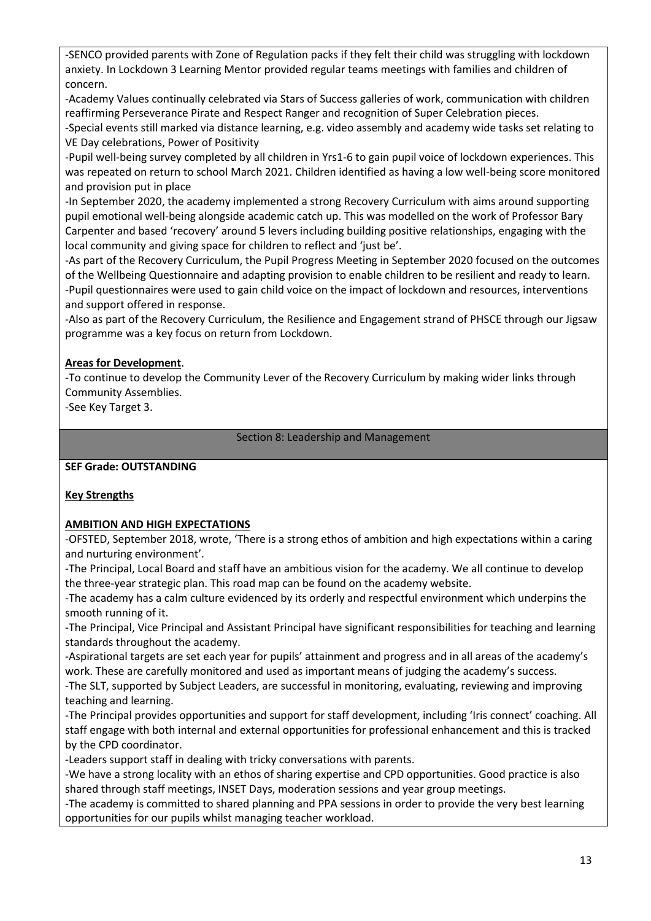-SENCO provided parents with Zone of Regulation packs if they felt their child was struggling with lockdown anxiety. In Lockdown 3 Learning Mentor provided regular teams meetings with families and children of concern.

-Academy Values continually celebrated via Stars of Success galleries of work, communication with children reaffirming Perseverance Pirate and Respect Ranger and recognition of Super Celebration pieces.

-Special events still marked via distance learning, e.g. video assembly and academy wide tasks set relating to VE Day celebrations, Power of Positivity

-Pupil well-being survey completed by all children in Yrs1-6 to gain pupil voice of lockdown experiences. This was repeated on return to school March 2021. Children identified as having a low well-being score monitored and provision put in place

-In September 2020, the academy implemented a strong Recovery Curriculum with aims around supporting pupil emotional well-being alongside academic catch up. This was modelled on the work of Professor Bary Carpenter and based 'recovery' around 5 levers including building positive relationships, engaging with the local community and giving space for children to reflect and 'just be'.

-As part of the Recovery Curriculum, the Pupil Progress Meeting in September 2020 focused on the outcomes of the Wellbeing Questionnaire and adapting provision to enable children to be resilient and ready to learn. -Pupil questionnaires were used to gain child voice on the impact of lockdown and resources, interventions and support offered in response.

-Also as part of the Recovery Curriculum, the Resilience and Engagement strand of PHSCE through our Jigsaw programme was a key focus on return from Lockdown.

### **Areas for Development**.

-To continue to develop the Community Lever of the Recovery Curriculum by making wider links through Community Assemblies.

-See Key Target 3.

Section 8: Leadership and Management

### **SEF Grade: OUTSTANDING**

## **Key Strengths**

### **AMBITION AND HIGH EXPECTATIONS**

-OFSTED, September 2018, wrote, 'There is a strong ethos of ambition and high expectations within a caring and nurturing environment'.

-The Principal, Local Board and staff have an ambitious vision for the academy. We all continue to develop the three-year strategic plan. This road map can be found on the academy website.

-The academy has a calm culture evidenced by its orderly and respectful environment which underpins the smooth running of it.

-The Principal, Vice Principal and Assistant Principal have significant responsibilities for teaching and learning standards throughout the academy.

-Aspirational targets are set each year for pupils' attainment and progress and in all areas of the academy's work. These are carefully monitored and used as important means of judging the academy's success.

-The SLT, supported by Subject Leaders, are successful in monitoring, evaluating, reviewing and improving teaching and learning.

-The Principal provides opportunities and support for staff development, including 'Iris connect' coaching. All staff engage with both internal and external opportunities for professional enhancement and this is tracked by the CPD coordinator.

-Leaders support staff in dealing with tricky conversations with parents.

-We have a strong locality with an ethos of sharing expertise and CPD opportunities. Good practice is also shared through staff meetings, INSET Days, moderation sessions and year group meetings.

-The academy is committed to shared planning and PPA sessions in order to provide the very best learning opportunities for our pupils whilst managing teacher workload.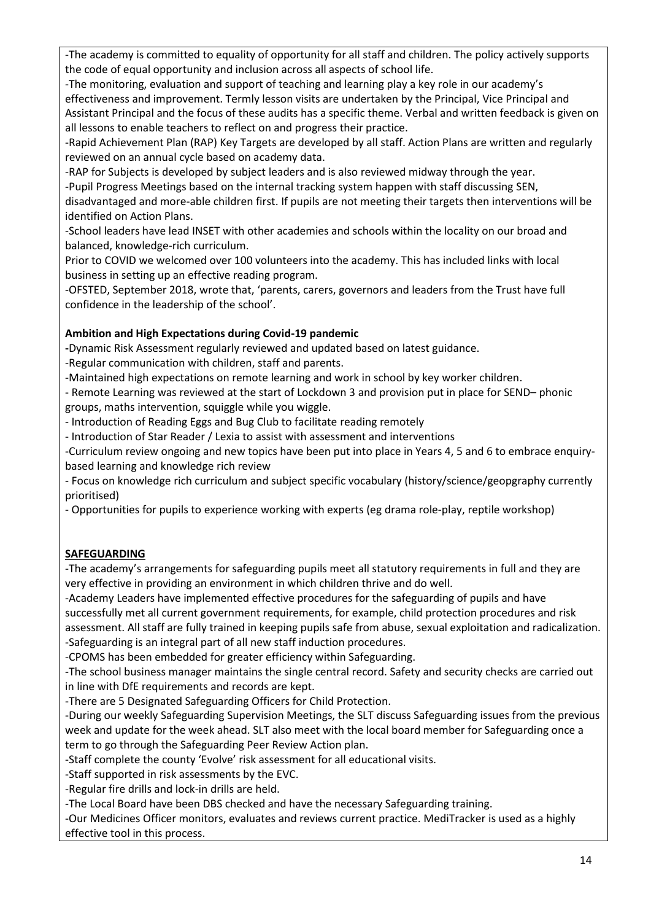-The academy is committed to equality of opportunity for all staff and children. The policy actively supports the code of equal opportunity and inclusion across all aspects of school life.

-The monitoring, evaluation and support of teaching and learning play a key role in our academy's effectiveness and improvement. Termly lesson visits are undertaken by the Principal, Vice Principal and Assistant Principal and the focus of these audits has a specific theme. Verbal and written feedback is given on all lessons to enable teachers to reflect on and progress their practice.

-Rapid Achievement Plan (RAP) Key Targets are developed by all staff. Action Plans are written and regularly reviewed on an annual cycle based on academy data.

-RAP for Subjects is developed by subject leaders and is also reviewed midway through the year. -Pupil Progress Meetings based on the internal tracking system happen with staff discussing SEN, disadvantaged and more-able children first. If pupils are not meeting their targets then interventions will be identified on Action Plans.

-School leaders have lead INSET with other academies and schools within the locality on our broad and balanced, knowledge-rich curriculum.

Prior to COVID we welcomed over 100 volunteers into the academy. This has included links with local business in setting up an effective reading program.

-OFSTED, September 2018, wrote that, 'parents, carers, governors and leaders from the Trust have full confidence in the leadership of the school'.

# **Ambition and High Expectations during Covid-19 pandemic**

**-**Dynamic Risk Assessment regularly reviewed and updated based on latest guidance.

-Regular communication with children, staff and parents.

-Maintained high expectations on remote learning and work in school by key worker children.

- Remote Learning was reviewed at the start of Lockdown 3 and provision put in place for SEND– phonic groups, maths intervention, squiggle while you wiggle.

- Introduction of Reading Eggs and Bug Club to facilitate reading remotely

- Introduction of Star Reader / Lexia to assist with assessment and interventions

-Curriculum review ongoing and new topics have been put into place in Years 4, 5 and 6 to embrace enquirybased learning and knowledge rich review

- Focus on knowledge rich curriculum and subject specific vocabulary (history/science/geopgraphy currently prioritised)

- Opportunities for pupils to experience working with experts (eg drama role-play, reptile workshop)

# **SAFEGUARDING**

-The academy's arrangements for safeguarding pupils meet all statutory requirements in full and they are very effective in providing an environment in which children thrive and do well.

-Academy Leaders have implemented effective procedures for the safeguarding of pupils and have successfully met all current government requirements, for example, child protection procedures and risk assessment. All staff are fully trained in keeping pupils safe from abuse, sexual exploitation and radicalization. -Safeguarding is an integral part of all new staff induction procedures.

-CPOMS has been embedded for greater efficiency within Safeguarding.

-The school business manager maintains the single central record. Safety and security checks are carried out in line with DfE requirements and records are kept.

-There are 5 Designated Safeguarding Officers for Child Protection.

-During our weekly Safeguarding Supervision Meetings, the SLT discuss Safeguarding issues from the previous week and update for the week ahead. SLT also meet with the local board member for Safeguarding once a term to go through the Safeguarding Peer Review Action plan.

-Staff complete the county 'Evolve' risk assessment for all educational visits.

-Staff supported in risk assessments by the EVC.

-Regular fire drills and lock-in drills are held.

-The Local Board have been DBS checked and have the necessary Safeguarding training.

-Our Medicines Officer monitors, evaluates and reviews current practice. MediTracker is used as a highly effective tool in this process.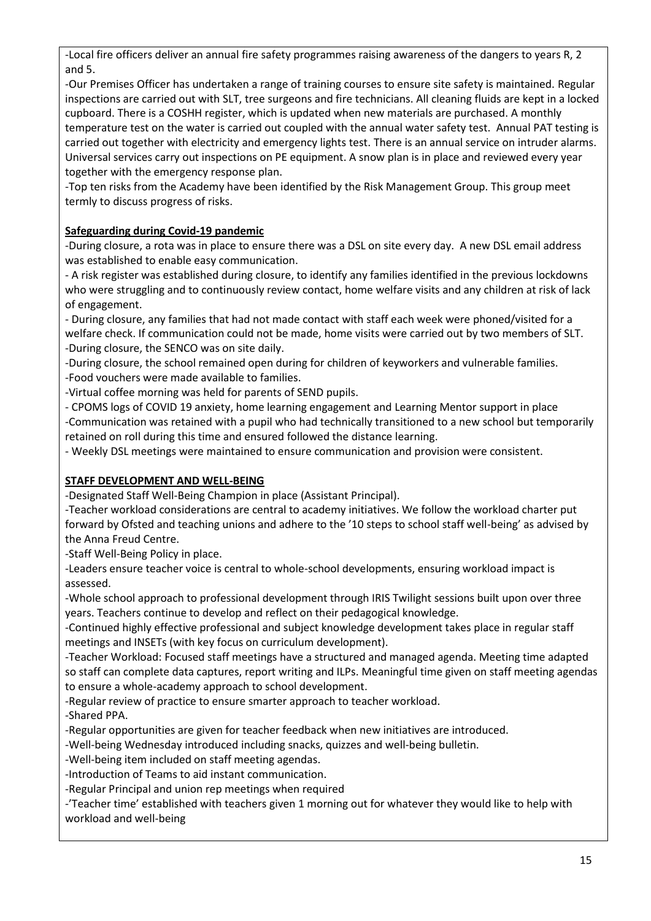-Local fire officers deliver an annual fire safety programmes raising awareness of the dangers to years R, 2 and 5.

-Our Premises Officer has undertaken a range of training courses to ensure site safety is maintained. Regular inspections are carried out with SLT, tree surgeons and fire technicians. All cleaning fluids are kept in a locked cupboard. There is a COSHH register, which is updated when new materials are purchased. A monthly temperature test on the water is carried out coupled with the annual water safety test. Annual PAT testing is carried out together with electricity and emergency lights test. There is an annual service on intruder alarms. Universal services carry out inspections on PE equipment. A snow plan is in place and reviewed every year together with the emergency response plan.

-Top ten risks from the Academy have been identified by the Risk Management Group. This group meet termly to discuss progress of risks.

# **Safeguarding during Covid-19 pandemic**

-During closure, a rota was in place to ensure there was a DSL on site every day. A new DSL email address was established to enable easy communication.

- A risk register was established during closure, to identify any families identified in the previous lockdowns who were struggling and to continuously review contact, home welfare visits and any children at risk of lack of engagement.

- During closure, any families that had not made contact with staff each week were phoned/visited for a welfare check. If communication could not be made, home visits were carried out by two members of SLT. -During closure, the SENCO was on site daily.

-During closure, the school remained open during for children of keyworkers and vulnerable families. -Food vouchers were made available to families.

-Virtual coffee morning was held for parents of SEND pupils.

- CPOMS logs of COVID 19 anxiety, home learning engagement and Learning Mentor support in place -Communication was retained with a pupil who had technically transitioned to a new school but temporarily retained on roll during this time and ensured followed the distance learning.

- Weekly DSL meetings were maintained to ensure communication and provision were consistent.

# **STAFF DEVELOPMENT AND WELL-BEING**

-Designated Staff Well-Being Champion in place (Assistant Principal).

-Teacher workload considerations are central to academy initiatives. We follow the workload charter put forward by Ofsted and teaching unions and adhere to the '10 steps to school staff well-being' as advised by the Anna Freud Centre.

-Staff Well-Being Policy in place.

-Leaders ensure teacher voice is central to whole-school developments, ensuring workload impact is assessed.

-Whole school approach to professional development through IRIS Twilight sessions built upon over three years. Teachers continue to develop and reflect on their pedagogical knowledge.

-Continued highly effective professional and subject knowledge development takes place in regular staff meetings and INSETs (with key focus on curriculum development).

-Teacher Workload: Focused staff meetings have a structured and managed agenda. Meeting time adapted so staff can complete data captures, report writing and ILPs. Meaningful time given on staff meeting agendas to ensure a whole-academy approach to school development.

-Regular review of practice to ensure smarter approach to teacher workload.

-Shared PPA.

-Regular opportunities are given for teacher feedback when new initiatives are introduced.

-Well-being Wednesday introduced including snacks, quizzes and well-being bulletin.

-Well-being item included on staff meeting agendas.

-Introduction of Teams to aid instant communication.

-Regular Principal and union rep meetings when required

-'Teacher time' established with teachers given 1 morning out for whatever they would like to help with workload and well-being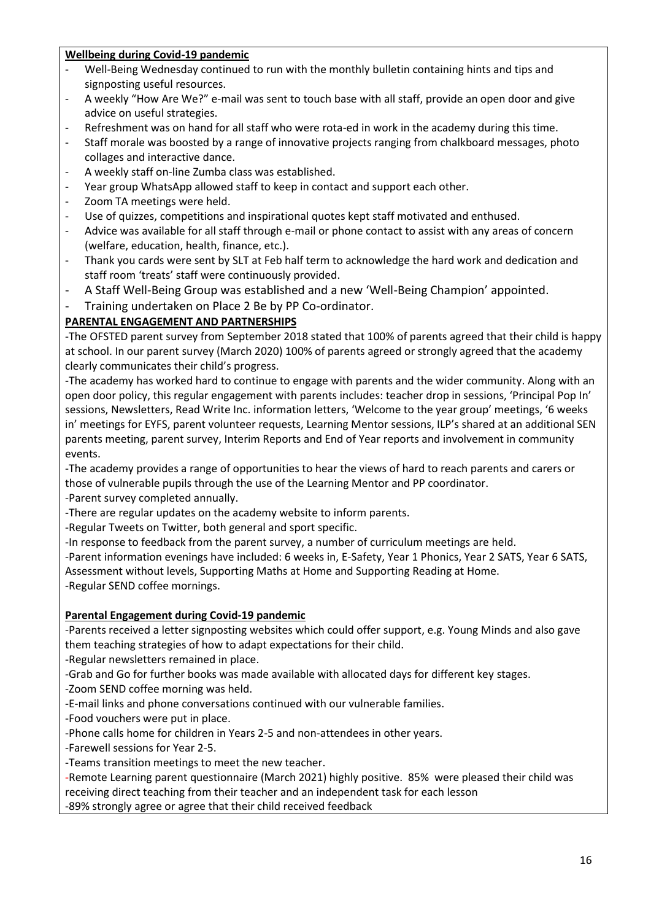### **Wellbeing during Covid-19 pandemic**

- Well-Being Wednesday continued to run with the monthly bulletin containing hints and tips and signposting useful resources.
- A weekly "How Are We?" e-mail was sent to touch base with all staff, provide an open door and give advice on useful strategies.
- Refreshment was on hand for all staff who were rota-ed in work in the academy during this time.
- Staff morale was boosted by a range of innovative projects ranging from chalkboard messages, photo collages and interactive dance.
- A weekly staff on-line Zumba class was established.
- Year group WhatsApp allowed staff to keep in contact and support each other.
- Zoom TA meetings were held.
- Use of quizzes, competitions and inspirational quotes kept staff motivated and enthused.
- Advice was available for all staff through e-mail or phone contact to assist with any areas of concern (welfare, education, health, finance, etc.).
- Thank you cards were sent by SLT at Feb half term to acknowledge the hard work and dedication and staff room 'treats' staff were continuously provided.
- A Staff Well-Being Group was established and a new 'Well-Being Champion' appointed.
- Training undertaken on Place 2 Be by PP Co-ordinator.

### **PARENTAL ENGAGEMENT AND PARTNERSHIPS**

-The OFSTED parent survey from September 2018 stated that 100% of parents agreed that their child is happy at school. In our parent survey (March 2020) 100% of parents agreed or strongly agreed that the academy clearly communicates their child's progress.

-The academy has worked hard to continue to engage with parents and the wider community. Along with an open door policy, this regular engagement with parents includes: teacher drop in sessions, 'Principal Pop In' sessions, Newsletters, Read Write Inc. information letters, 'Welcome to the year group' meetings, '6 weeks in' meetings for EYFS, parent volunteer requests, Learning Mentor sessions, ILP's shared at an additional SEN parents meeting, parent survey, Interim Reports and End of Year reports and involvement in community events.

-The academy provides a range of opportunities to hear the views of hard to reach parents and carers or those of vulnerable pupils through the use of the Learning Mentor and PP coordinator.

-Parent survey completed annually.

-There are regular updates on the academy website to inform parents.

-Regular Tweets on Twitter, both general and sport specific.

-In response to feedback from the parent survey, a number of curriculum meetings are held.

-Parent information evenings have included: 6 weeks in, E-Safety, Year 1 Phonics, Year 2 SATS, Year 6 SATS, Assessment without levels, Supporting Maths at Home and Supporting Reading at Home.

-Regular SEND coffee mornings.

## **Parental Engagement during Covid-19 pandemic**

-Parents received a letter signposting websites which could offer support, e.g. Young Minds and also gave them teaching strategies of how to adapt expectations for their child.

-Regular newsletters remained in place.

-Grab and Go for further books was made available with allocated days for different key stages.

-Zoom SEND coffee morning was held.

-E-mail links and phone conversations continued with our vulnerable families.

-Food vouchers were put in place.

-Phone calls home for children in Years 2-5 and non-attendees in other years.

-Farewell sessions for Year 2-5.

-Teams transition meetings to meet the new teacher.

-Remote Learning parent questionnaire (March 2021) highly positive. 85% were pleased their child was receiving direct teaching from their teacher and an independent task for each lesson

-89% strongly agree or agree that their child received feedback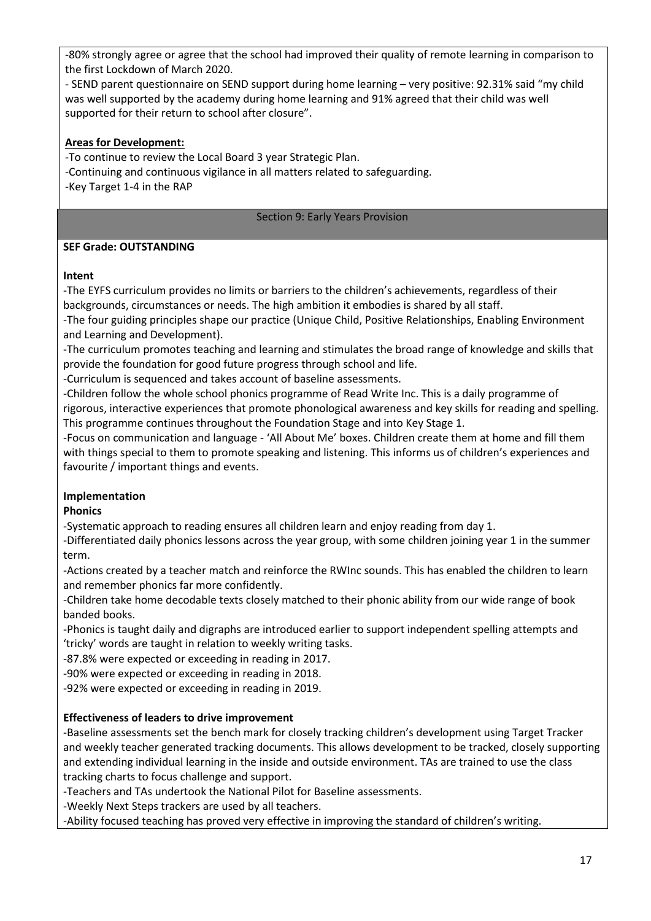-80% strongly agree or agree that the school had improved their quality of remote learning in comparison to the first Lockdown of March 2020.

- SEND parent questionnaire on SEND support during home learning – very positive: 92.31% said "my child was well supported by the academy during home learning and 91% agreed that their child was well supported for their return to school after closure".

### **Areas for Development:**

-To continue to review the Local Board 3 year Strategic Plan. -Continuing and continuous vigilance in all matters related to safeguarding. -Key Target 1-4 in the RAP

#### Section 9: Early Years Provision

#### **SEF Grade: OUTSTANDING**

#### **Intent**

-The EYFS curriculum provides no limits or barriers to the children's achievements, regardless of their backgrounds, circumstances or needs. The high ambition it embodies is shared by all staff.

-The four guiding principles shape our practice (Unique Child, Positive Relationships, Enabling Environment and Learning and Development).

-The curriculum promotes teaching and learning and stimulates the broad range of knowledge and skills that provide the foundation for good future progress through school and life.

-Curriculum is sequenced and takes account of baseline assessments.

-Children follow the whole school phonics programme of Read Write Inc. This is a daily programme of rigorous, interactive experiences that promote phonological awareness and key skills for reading and spelling. This programme continues throughout the Foundation Stage and into Key Stage 1.

-Focus on communication and language - 'All About Me' boxes. Children create them at home and fill them with things special to them to promote speaking and listening. This informs us of children's experiences and favourite / important things and events.

## **Implementation**

### **Phonics**

-Systematic approach to reading ensures all children learn and enjoy reading from day 1.

-Differentiated daily phonics lessons across the year group, with some children joining year 1 in the summer term.

-Actions created by a teacher match and reinforce the RWInc sounds. This has enabled the children to learn and remember phonics far more confidently.

-Children take home decodable texts closely matched to their phonic ability from our wide range of book banded books.

-Phonics is taught daily and digraphs are introduced earlier to support independent spelling attempts and 'tricky' words are taught in relation to weekly writing tasks.

-87.8% were expected or exceeding in reading in 2017.

-90% were expected or exceeding in reading in 2018.

-92% were expected or exceeding in reading in 2019.

### **Effectiveness of leaders to drive improvement**

-Baseline assessments set the bench mark for closely tracking children's development using Target Tracker and weekly teacher generated tracking documents. This allows development to be tracked, closely supporting and extending individual learning in the inside and outside environment. TAs are trained to use the class tracking charts to focus challenge and support.

-Teachers and TAs undertook the National Pilot for Baseline assessments.

-Weekly Next Steps trackers are used by all teachers.

-Ability focused teaching has proved very effective in improving the standard of children's writing.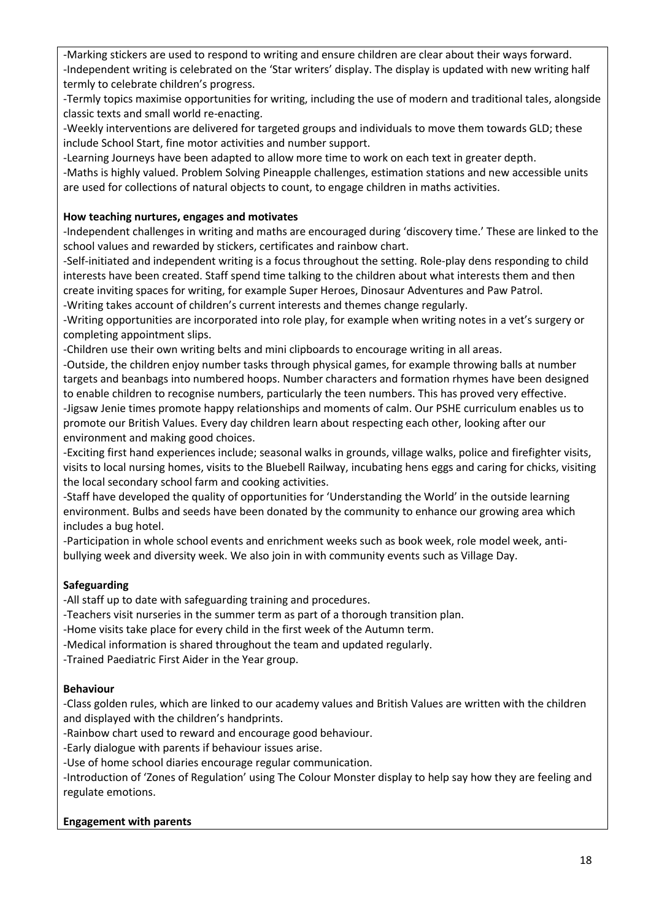-Marking stickers are used to respond to writing and ensure children are clear about their ways forward. -Independent writing is celebrated on the 'Star writers' display. The display is updated with new writing half termly to celebrate children's progress.

-Termly topics maximise opportunities for writing, including the use of modern and traditional tales, alongside classic texts and small world re-enacting.

-Weekly interventions are delivered for targeted groups and individuals to move them towards GLD; these include School Start, fine motor activities and number support.

-Learning Journeys have been adapted to allow more time to work on each text in greater depth.

-Maths is highly valued. Problem Solving Pineapple challenges, estimation stations and new accessible units are used for collections of natural objects to count, to engage children in maths activities.

### **How teaching nurtures, engages and motivates**

-Independent challenges in writing and maths are encouraged during 'discovery time.' These are linked to the school values and rewarded by stickers, certificates and rainbow chart.

-Self-initiated and independent writing is a focus throughout the setting. Role-play dens responding to child interests have been created. Staff spend time talking to the children about what interests them and then create inviting spaces for writing, for example Super Heroes, Dinosaur Adventures and Paw Patrol. -Writing takes account of children's current interests and themes change regularly.

-Writing opportunities are incorporated into role play, for example when writing notes in a vet's surgery or completing appointment slips.

-Children use their own writing belts and mini clipboards to encourage writing in all areas.

-Outside, the children enjoy number tasks through physical games, for example throwing balls at number targets and beanbags into numbered hoops. Number characters and formation rhymes have been designed to enable children to recognise numbers, particularly the teen numbers. This has proved very effective. -Jigsaw Jenie times promote happy relationships and moments of calm. Our PSHE curriculum enables us to promote our British Values. Every day children learn about respecting each other, looking after our environment and making good choices.

-Exciting first hand experiences include; seasonal walks in grounds, village walks, police and firefighter visits, visits to local nursing homes, visits to the Bluebell Railway, incubating hens eggs and caring for chicks, visiting the local secondary school farm and cooking activities.

-Staff have developed the quality of opportunities for 'Understanding the World' in the outside learning environment. Bulbs and seeds have been donated by the community to enhance our growing area which includes a bug hotel.

-Participation in whole school events and enrichment weeks such as book week, role model week, antibullying week and diversity week. We also join in with community events such as Village Day.

## **Safeguarding**

-All staff up to date with safeguarding training and procedures.

-Teachers visit nurseries in the summer term as part of a thorough transition plan.

-Home visits take place for every child in the first week of the Autumn term.

-Medical information is shared throughout the team and updated regularly.

-Trained Paediatric First Aider in the Year group.

### **Behaviour**

-Class golden rules, which are linked to our academy values and British Values are written with the children and displayed with the children's handprints.

-Rainbow chart used to reward and encourage good behaviour.

-Early dialogue with parents if behaviour issues arise.

-Use of home school diaries encourage regular communication.

-Introduction of 'Zones of Regulation' using The Colour Monster display to help say how they are feeling and regulate emotions.

### **Engagement with parents**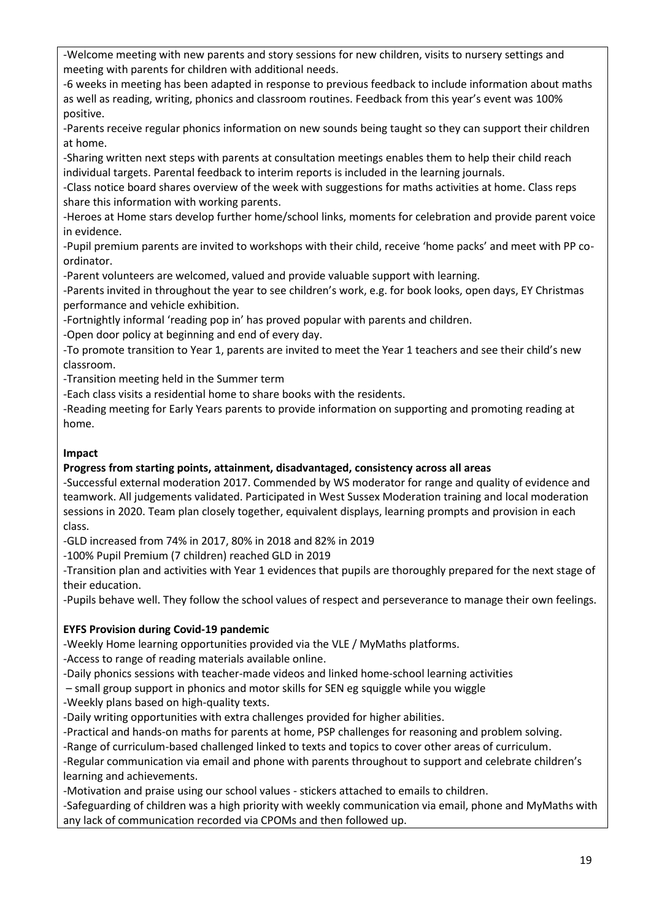-Welcome meeting with new parents and story sessions for new children, visits to nursery settings and meeting with parents for children with additional needs.

-6 weeks in meeting has been adapted in response to previous feedback to include information about maths as well as reading, writing, phonics and classroom routines. Feedback from this year's event was 100% positive.

-Parents receive regular phonics information on new sounds being taught so they can support their children at home.

-Sharing written next steps with parents at consultation meetings enables them to help their child reach individual targets. Parental feedback to interim reports is included in the learning journals.

-Class notice board shares overview of the week with suggestions for maths activities at home. Class reps share this information with working parents.

-Heroes at Home stars develop further home/school links, moments for celebration and provide parent voice in evidence.

-Pupil premium parents are invited to workshops with their child, receive 'home packs' and meet with PP coordinator.

-Parent volunteers are welcomed, valued and provide valuable support with learning.

-Parents invited in throughout the year to see children's work, e.g. for book looks, open days, EY Christmas performance and vehicle exhibition.

-Fortnightly informal 'reading pop in' has proved popular with parents and children.

-Open door policy at beginning and end of every day.

-To promote transition to Year 1, parents are invited to meet the Year 1 teachers and see their child's new classroom.

-Transition meeting held in the Summer term

-Each class visits a residential home to share books with the residents.

-Reading meeting for Early Years parents to provide information on supporting and promoting reading at home.

### **Impact**

### **Progress from starting points, attainment, disadvantaged, consistency across all areas**

-Successful external moderation 2017. Commended by WS moderator for range and quality of evidence and teamwork. All judgements validated. Participated in West Sussex Moderation training and local moderation sessions in 2020. Team plan closely together, equivalent displays, learning prompts and provision in each class.

-GLD increased from 74% in 2017, 80% in 2018 and 82% in 2019

-100% Pupil Premium (7 children) reached GLD in 2019

-Transition plan and activities with Year 1 evidences that pupils are thoroughly prepared for the next stage of their education.

-Pupils behave well. They follow the school values of respect and perseverance to manage their own feelings.

## **EYFS Provision during Covid-19 pandemic**

-Weekly Home learning opportunities provided via the VLE / MyMaths platforms.

-Access to range of reading materials available online.

-Daily phonics sessions with teacher-made videos and linked home-school learning activities

– small group support in phonics and motor skills for SEN eg squiggle while you wiggle

-Weekly plans based on high-quality texts.

-Daily writing opportunities with extra challenges provided for higher abilities.

-Practical and hands-on maths for parents at home, PSP challenges for reasoning and problem solving.

-Range of curriculum-based challenged linked to texts and topics to cover other areas of curriculum.

-Regular communication via email and phone with parents throughout to support and celebrate children's learning and achievements.

-Motivation and praise using our school values - stickers attached to emails to children.

-Safeguarding of children was a high priority with weekly communication via email, phone and MyMaths with any lack of communication recorded via CPOMs and then followed up.